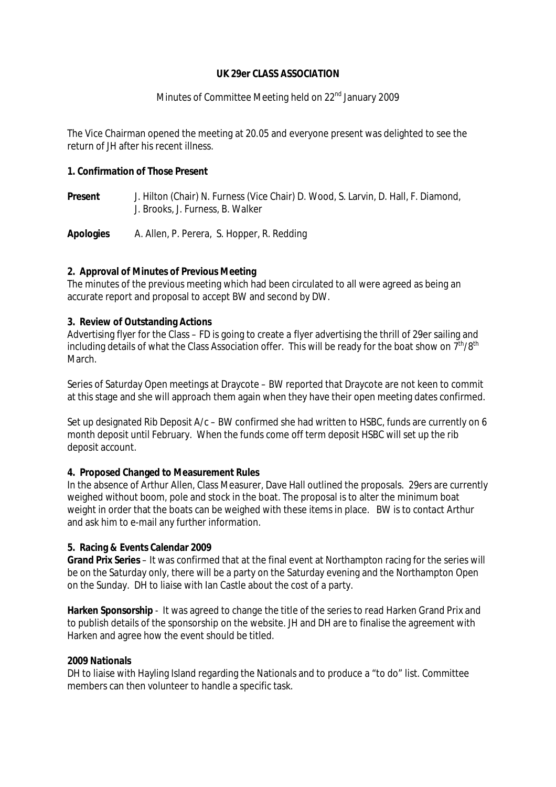#### **UK 29er CLASS ASSOCIATION**

## Minutes of Committee Meeting held on 22<sup>nd</sup> January 2009

The Vice Chairman opened the meeting at 20.05 and everyone present was delighted to see the return of JH after his recent illness.

**1. Confirmation of Those Present** 

**Present** J. Hilton (Chair) N. Furness (Vice Chair) D. Wood, S. Larvin, D. Hall, F. Diamond, J. Brooks, J. Furness, B. Walker

**Apologies** A. Allen, P. Perera, S. Hopper, R. Redding

#### **2. Approval of Minutes of Previous Meeting**

The minutes of the previous meeting which had been circulated to all were agreed as being an accurate report and proposal to accept BW and second by DW.

#### **3. Review of Outstanding Actions**

Advertising flyer for the Class – FD is going to create a flyer advertising the thrill of 29er sailing and including details of what the Class Association offer. This will be ready for the boat show on  $7<sup>th</sup>/8<sup>th</sup>$ March.

Series of Saturday Open meetings at Draycote – BW reported that Draycote are not keen to commit at this stage and she will approach them again when they have their open meeting dates confirmed.

Set up designated Rib Deposit  $A/c - BW$  confirmed she had written to HSBC, funds are currently on 6 month deposit until February. When the funds come off term deposit HSBC will set up the rib deposit account.

#### **4. Proposed Changed to Measurement Rules**

In the absence of Arthur Allen, Class Measurer, Dave Hall outlined the proposals. 29ers are currently weighed without boom, pole and stock in the boat. The proposal is to alter the minimum boat weight in order that the boats can be weighed with these items in place. BW is to contact Arthur and ask him to e-mail any further information.

#### **5. Racing & Events Calendar 2009**

**Grand Prix Series** – It was confirmed that at the final event at Northampton racing for the series will be on the Saturday only, there will be a party on the Saturday evening and the Northampton Open on the Sunday. DH to liaise with Ian Castle about the cost of a party.

**Harken Sponsorship** - It was agreed to change the title of the series to read Harken Grand Prix and to publish details of the sponsorship on the website. JH and DH are to finalise the agreement with Harken and agree how the event should be titled.

## **2009 Nationals**

DH to liaise with Hayling Island regarding the Nationals and to produce a "to do" list. Committee members can then volunteer to handle a specific task.